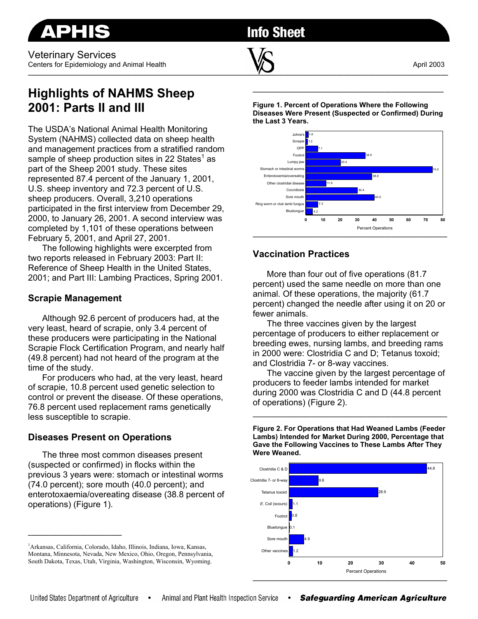

# **Info Sheet**

**\_\_\_\_\_\_\_\_\_\_\_\_\_\_\_\_\_\_\_\_\_\_\_\_\_\_\_\_\_\_\_\_\_\_\_\_\_\_\_\_\_\_\_\_\_\_\_\_\_\_\_\_\_\_\_\_\_\_\_\_\_\_\_\_\_\_\_\_\_\_\_\_\_\_\_\_\_\_\_\_\_\_\_\_\_\_\_\_\_\_\_\_\_\_\_\_\_\_\_\_\_\_\_\_\_\_\_\_\_\_\_\_\_\_\_\_\_\_\_\_\_** 

## **Highlights of NAHMS Sheep 2001: Parts II and III**

The USDA's National Animal Health Monitoring System (NAHMS) collected data on sheep health and management practices from a stratified random sample of sheep production sites in 22 States<sup>1</sup> as part of the Sheep 2001 study. These sites represented 87.4 percent of the January 1, 2001, U.S. sheep inventory and 72.3 percent of U.S. sheep producers. Overall, 3,210 operations participated in the first interview from December 29, 2000, to January 26, 2001. A second interview was completed by 1,101 of these operations between February 5, 2001, and April 27, 2001.

The following highlights were excerpted from two reports released in February 2003: Part II: Reference of Sheep Health in the United States, 2001; and Part III: Lambing Practices, Spring 2001.

### **Scrapie Management**

Although 92.6 percent of producers had, at the very least, heard of scrapie, only 3.4 percent of these producers were participating in the National Scrapie Flock Certification Program, and nearly half (49.8 percent) had not heard of the program at the time of the study.

For producers who had, at the very least, heard of scrapie, 10.8 percent used genetic selection to control or prevent the disease. Of these operations, 76.8 percent used replacement rams genetically less susceptible to scrapie.

## **Diseases Present on Operations**

**\_\_\_\_\_\_\_\_\_\_\_\_\_\_\_\_\_\_\_\_\_\_\_\_\_\_\_** 

The three most common diseases present (suspected or confirmed) in flocks within the previous 3 years were: stomach or intestinal worms (74.0 percent); sore mouth (40.0 percent); and enterotoxaemia/overeating disease (38.8 percent of operations) (Figure 1).

**Figure 1. Percent of Operations Where the Following Diseases Were Present (Suspected or Confirmed) During the Last 3 Years.** 

**\_\_\_\_\_\_\_\_\_\_\_\_\_\_\_\_\_\_\_\_\_\_\_\_\_\_\_\_\_\_\_\_\_\_\_\_\_\_\_\_\_\_\_\_\_\_\_\_\_\_\_\_\_\_\_** 



## **Vaccination Practices**

More than four out of five operations (81.7 percent) used the same needle on more than one animal. Of these operations, the majority (61.7 percent) changed the needle after using it on 20 or fewer animals.

The three vaccines given by the largest percentage of producers to either replacement or breeding ewes, nursing lambs, and breeding rams in 2000 were: Clostridia C and D; Tetanus toxoid; and Clostridia 7- or 8-way vaccines.

The vaccine given by the largest percentage of producers to feeder lambs intended for market during 2000 was Clostridia C and D (44.8 percent of operations) (Figure 2).

**\_\_\_\_\_\_\_\_\_\_\_\_\_\_\_\_\_\_\_\_\_\_\_\_\_\_\_\_\_\_\_\_\_\_\_\_\_\_\_\_\_\_\_\_\_\_\_\_\_\_\_\_\_\_\_\_** 

**Figure 2. For Operations that Had Weaned Lambs (Feeder Lambs) Intended for Market During 2000, Percentage that Gave the Following Vaccines to These Lambs After They Were Weaned.** 



<sup>1</sup> Arkansas, California, Colorado, Idaho, Illinois, Indiana, Iowa, Kansas, Montana, Minnesota, Nevada, New Mexico, Ohio, Oregon, Pennsylvania, South Dakota, Texas, Utah, Virginia, Washington, Wisconsin, Wyoming.